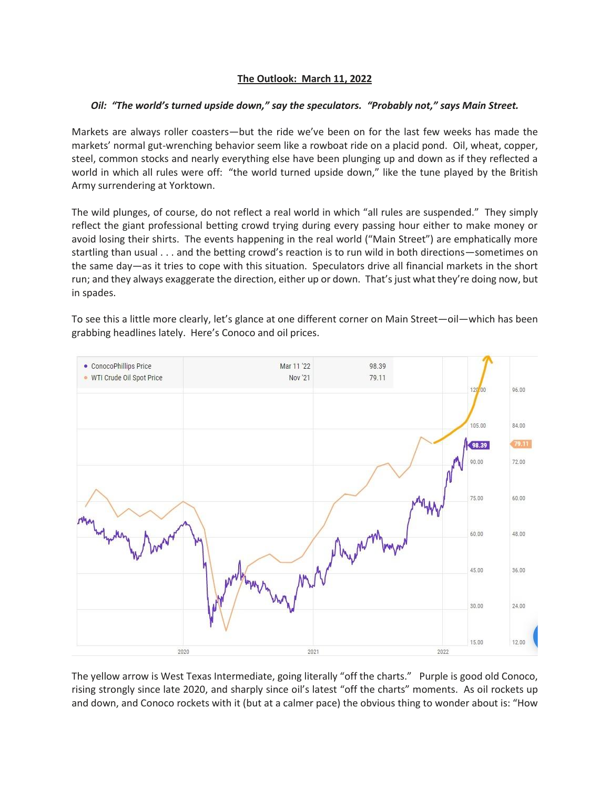## **The Outlook: March 11, 2022**

## *Oil: "The world's turned upside down," say the speculators. "Probably not," says Main Street.*

Markets are always roller coasters—but the ride we've been on for the last few weeks has made the markets' normal gut-wrenching behavior seem like a rowboat ride on a placid pond. Oil, wheat, copper, steel, common stocks and nearly everything else have been plunging up and down as if they reflected a world in which all rules were off: "the world turned upside down," like the tune played by the British Army surrendering at Yorktown.

The wild plunges, of course, do not reflect a real world in which "all rules are suspended." They simply reflect the giant professional betting crowd trying during every passing hour either to make money or avoid losing their shirts. The events happening in the real world ("Main Street") are emphatically more startling than usual . . . and the betting crowd's reaction is to run wild in both directions—sometimes on the same day—as it tries to cope with this situation. Speculators drive all financial markets in the short run; and they always exaggerate the direction, either up or down. That's just what they're doing now, but in spades.

To see this a little more clearly, let's glance at one different corner on Main Street—oil—which has been grabbing headlines lately. Here's Conoco and oil prices.



The yellow arrow is West Texas Intermediate, going literally "off the charts." Purple is good old Conoco, rising strongly since late 2020, and sharply since oil's latest "off the charts" moments. As oil rockets up and down, and Conoco rockets with it (but at a calmer pace) the obvious thing to wonder about is: "How